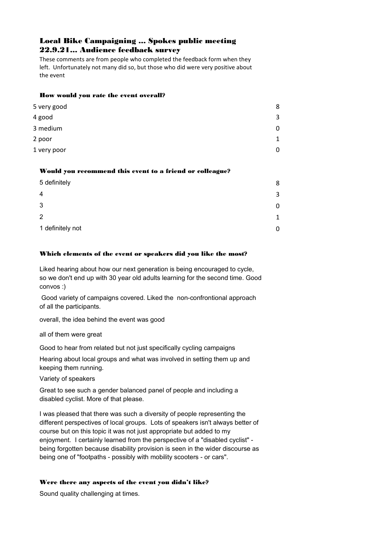# Local Bike Campaigning ... Spokes public meeting 22.9.21... Audience feedback survey

These comments are from people who completed the feedback form when they left. Unfortunately not many did so, but those who did were very positive about the event

### How would you rate the event overall?

| 5 very good | 8            |
|-------------|--------------|
| 4 good      | 3            |
| 3 medium    | 0            |
| 2 poor      | $\mathbf{1}$ |
| 1 very poor | 0            |

#### Would you recommend this event to a friend or colleague?

| 5 definitely     | 8           |
|------------------|-------------|
| 4                | 3           |
| 3                |             |
| 2                | $\mathbf 1$ |
| 1 definitely not |             |

#### Which elements of the event or speakers did you like the most?

Liked hearing about how our next generation is being encouraged to cycle, so we don't end up with 30 year old adults learning for the second time. Good convos :)

Good variety of campaigns covered. Liked the non-confrontional approach of all the participants.

overall, the idea behind the event was good

all of them were great

Good to hear from related but not just specifically cycling campaigns

Hearing about local groups and what was involved in setting them up and keeping them running.

Variety of speakers

Great to see such a gender balanced panel of people and including a disabled cyclist. More of that please.

I was pleased that there was such a diversity of people representing the different perspectives of local groups. Lots of speakers isn't always better of course but on this topic it was not just appropriate but added to my enjoyment. I certainly learned from the perspective of a "disabled cyclist" being forgotten because disability provision is seen in the wider discourse as being one of "footpaths - possibly with mobility scooters - or cars".

## Were there any aspects of the event you didn't like?

Sound quality challenging at times.